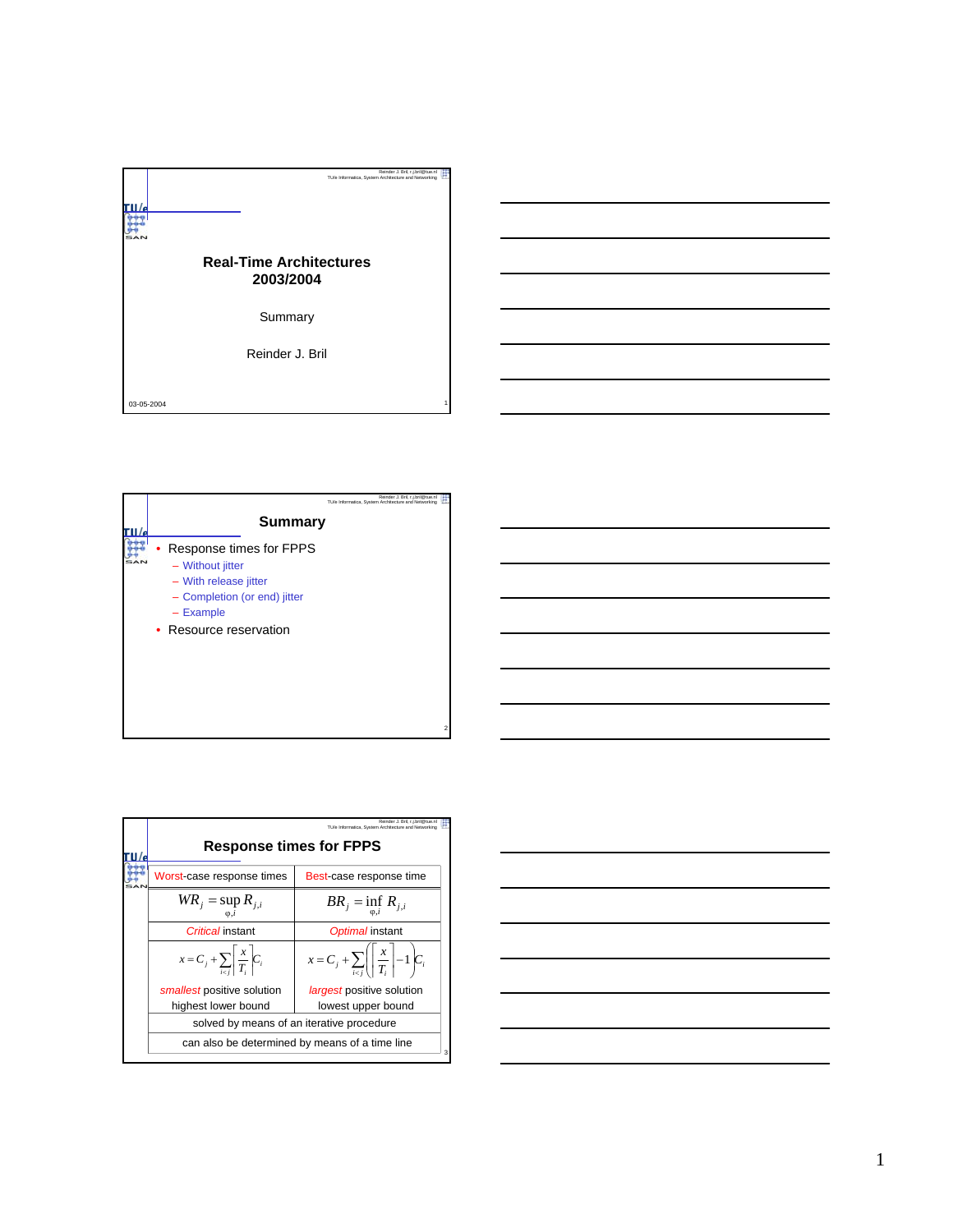



|  |                                                                                             | Reinder J. Bril. r.i.bril@tue.n<br>TU/e Informatica. System Architecture and Networking |  |  |  |  |  |  |
|--|---------------------------------------------------------------------------------------------|-----------------------------------------------------------------------------------------|--|--|--|--|--|--|
|  | <b>Response times for FPPS</b>                                                              |                                                                                         |  |  |  |  |  |  |
|  | Worst-case response times                                                                   | Best-case response time                                                                 |  |  |  |  |  |  |
|  | $WR_{i} = \sup R_{i,i}$                                                                     | $BR_j = \inf_{i} R_{j,i}$                                                               |  |  |  |  |  |  |
|  | Critical instant                                                                            | Optimal instant                                                                         |  |  |  |  |  |  |
|  | $x = C_j + \sum_{i \neq j} \left  \frac{x}{T_i} \right  C_i$                                | $x = C_j + \sum_{i \in I} \left( \left  \frac{x}{T_i} \right  - 1 \right) C_i$          |  |  |  |  |  |  |
|  | smallest positive solution                                                                  | <i>largest</i> positive solution                                                        |  |  |  |  |  |  |
|  | highest lower bound                                                                         | lowest upper bound                                                                      |  |  |  |  |  |  |
|  | solved by means of an iterative procedure<br>can also be determined by means of a time line |                                                                                         |  |  |  |  |  |  |
|  |                                                                                             |                                                                                         |  |  |  |  |  |  |

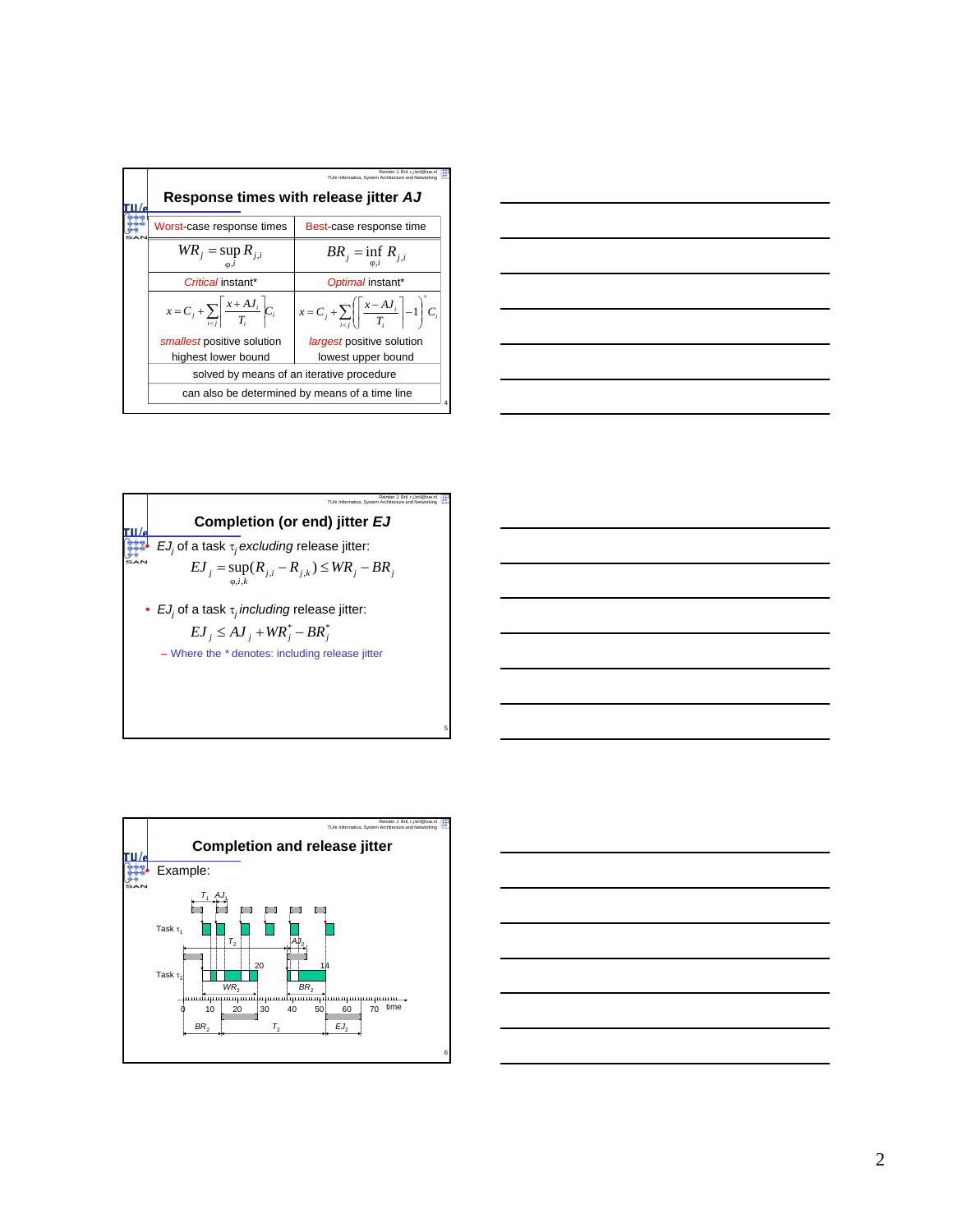|  | Reinder J. Bril, r.i.bril@tue.n<br>TU/e Informatica. System Architecture and Networking<br>Response times with release jitter AJ |                                                                                       |  |  |  |  |  |  |
|--|----------------------------------------------------------------------------------------------------------------------------------|---------------------------------------------------------------------------------------|--|--|--|--|--|--|
|  | Worst-case response times                                                                                                        | Best-case response time                                                               |  |  |  |  |  |  |
|  | $WR_{j} = \sup R_{j,i}$<br>$BR_j = \inf_{i} R_{j,i}$                                                                             |                                                                                       |  |  |  |  |  |  |
|  | Critical instant*                                                                                                                | Optimal instant*                                                                      |  |  |  |  |  |  |
|  | $x = C_j + \sum_{i \neq j} \left  \frac{x + AJ_i}{T} \right  C_i$                                                                | $x = C_j + \sum_{i=1}^n \left( \left  \frac{x - AJ_i}{T_i} \right  - 1 \right)^T C_i$ |  |  |  |  |  |  |
|  | smallest positive solution                                                                                                       | <i>largest</i> positive solution                                                      |  |  |  |  |  |  |
|  | highest lower bound                                                                                                              | lowest upper bound                                                                    |  |  |  |  |  |  |
|  | solved by means of an iterative procedure<br>can also be determined by means of a time line                                      |                                                                                       |  |  |  |  |  |  |
|  |                                                                                                                                  |                                                                                       |  |  |  |  |  |  |

| ○ 1999年1月19日,1999年1月1日,1999年1月1日,1999年1月1日,1999年1月1日,1999年1月1日,1999年1月1日,1999年1月1<br>1990年1月10日,1999年1月1日,1999年1月1日,1999年1月1日,1999年1月1日,1999年1月1日,1999年1月1日,1999年1月1日 |  | _____ |
|-----------------------------------------------------------------------------------------------------------------------------------------------------------------------|--|-------|
|                                                                                                                                                                       |  |       |
| and the control of the control of the control of the control of the control of the control of the control of the                                                      |  |       |
|                                                                                                                                                                       |  |       |